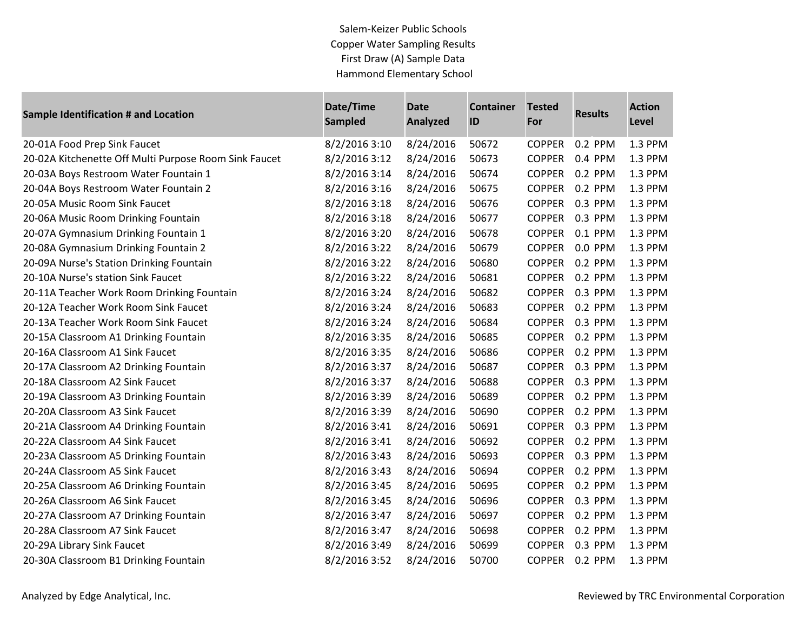Salem-Keizer Public Schools Copper Water Sampling Results First Draw (A) Sample Data Hammond Elementary School

| <b>Sample Identification # and Location</b>           | Date/Time<br><b>Sampled</b> | <b>Date</b><br><b>Analyzed</b> | <b>Container</b><br>ID | <b>Tested</b><br>For | <b>Results</b> | <b>Action</b><br><b>Level</b> |
|-------------------------------------------------------|-----------------------------|--------------------------------|------------------------|----------------------|----------------|-------------------------------|
| 20-01A Food Prep Sink Faucet                          | 8/2/2016 3:10               | 8/24/2016                      | 50672                  | <b>COPPER</b>        | 0.2 PPM        | 1.3 PPM                       |
| 20-02A Kitchenette Off Multi Purpose Room Sink Faucet | 8/2/2016 3:12               | 8/24/2016                      | 50673                  | <b>COPPER</b>        | 0.4 PPM        | 1.3 PPM                       |
| 20-03A Boys Restroom Water Fountain 1                 | 8/2/2016 3:14               | 8/24/2016                      | 50674                  | <b>COPPER</b>        | 0.2 PPM        | 1.3 PPM                       |
| 20-04A Boys Restroom Water Fountain 2                 | 8/2/2016 3:16               | 8/24/2016                      | 50675                  | <b>COPPER</b>        | 0.2 PPM        | 1.3 PPM                       |
| 20-05A Music Room Sink Faucet                         | 8/2/2016 3:18               | 8/24/2016                      | 50676                  | <b>COPPER</b>        | 0.3 PPM        | 1.3 PPM                       |
| 20-06A Music Room Drinking Fountain                   | 8/2/2016 3:18               | 8/24/2016                      | 50677                  | <b>COPPER</b>        | 0.3 PPM        | 1.3 PPM                       |
| 20-07A Gymnasium Drinking Fountain 1                  | 8/2/2016 3:20               | 8/24/2016                      | 50678                  | <b>COPPER</b>        | 0.1 PPM        | 1.3 PPM                       |
| 20-08A Gymnasium Drinking Fountain 2                  | 8/2/2016 3:22               | 8/24/2016                      | 50679                  | <b>COPPER</b>        | 0.0 PPM        | 1.3 PPM                       |
| 20-09A Nurse's Station Drinking Fountain              | 8/2/2016 3:22               | 8/24/2016                      | 50680                  | <b>COPPER</b>        | 0.2 PPM        | 1.3 PPM                       |
| 20-10A Nurse's station Sink Faucet                    | 8/2/2016 3:22               | 8/24/2016                      | 50681                  | <b>COPPER</b>        | 0.2 PPM        | 1.3 PPM                       |
| 20-11A Teacher Work Room Drinking Fountain            | 8/2/2016 3:24               | 8/24/2016                      | 50682                  | <b>COPPER</b>        | 0.3 PPM        | 1.3 PPM                       |
| 20-12A Teacher Work Room Sink Faucet                  | 8/2/2016 3:24               | 8/24/2016                      | 50683                  | <b>COPPER</b>        | 0.2 PPM        | 1.3 PPM                       |
| 20-13A Teacher Work Room Sink Faucet                  | 8/2/2016 3:24               | 8/24/2016                      | 50684                  | <b>COPPER</b>        | 0.3 PPM        | 1.3 PPM                       |
| 20-15A Classroom A1 Drinking Fountain                 | 8/2/2016 3:35               | 8/24/2016                      | 50685                  | <b>COPPER</b>        | 0.2 PPM        | 1.3 PPM                       |
| 20-16A Classroom A1 Sink Faucet                       | 8/2/2016 3:35               | 8/24/2016                      | 50686                  | <b>COPPER</b>        | 0.2 PPM        | 1.3 PPM                       |
| 20-17A Classroom A2 Drinking Fountain                 | 8/2/2016 3:37               | 8/24/2016                      | 50687                  | <b>COPPER</b>        | 0.3 PPM        | 1.3 PPM                       |
| 20-18A Classroom A2 Sink Faucet                       | 8/2/2016 3:37               | 8/24/2016                      | 50688                  | <b>COPPER</b>        | 0.3 PPM        | 1.3 PPM                       |
| 20-19A Classroom A3 Drinking Fountain                 | 8/2/2016 3:39               | 8/24/2016                      | 50689                  | <b>COPPER</b>        | 0.2 PPM        | 1.3 PPM                       |
| 20-20A Classroom A3 Sink Faucet                       | 8/2/2016 3:39               | 8/24/2016                      | 50690                  | <b>COPPER</b>        | 0.2 PPM        | 1.3 PPM                       |
| 20-21A Classroom A4 Drinking Fountain                 | 8/2/2016 3:41               | 8/24/2016                      | 50691                  | <b>COPPER</b>        | 0.3 PPM        | 1.3 PPM                       |
| 20-22A Classroom A4 Sink Faucet                       | 8/2/2016 3:41               | 8/24/2016                      | 50692                  | <b>COPPER</b>        | 0.2 PPM        | 1.3 PPM                       |
| 20-23A Classroom A5 Drinking Fountain                 | 8/2/2016 3:43               | 8/24/2016                      | 50693                  | <b>COPPER</b>        | 0.3 PPM        | 1.3 PPM                       |
| 20-24A Classroom A5 Sink Faucet                       | 8/2/2016 3:43               | 8/24/2016                      | 50694                  | <b>COPPER</b>        | 0.2 PPM        | 1.3 PPM                       |
| 20-25A Classroom A6 Drinking Fountain                 | 8/2/2016 3:45               | 8/24/2016                      | 50695                  | <b>COPPER</b>        | 0.2 PPM        | 1.3 PPM                       |
| 20-26A Classroom A6 Sink Faucet                       | 8/2/2016 3:45               | 8/24/2016                      | 50696                  | <b>COPPER</b>        | 0.3 PPM        | 1.3 PPM                       |
| 20-27A Classroom A7 Drinking Fountain                 | 8/2/2016 3:47               | 8/24/2016                      | 50697                  | <b>COPPER</b>        | 0.2 PPM        | 1.3 PPM                       |
| 20-28A Classroom A7 Sink Faucet                       | 8/2/2016 3:47               | 8/24/2016                      | 50698                  | <b>COPPER</b>        | 0.2 PPM        | 1.3 PPM                       |
| 20-29A Library Sink Faucet                            | 8/2/2016 3:49               | 8/24/2016                      | 50699                  | <b>COPPER</b>        | 0.3 PPM        | 1.3 PPM                       |
| 20-30A Classroom B1 Drinking Fountain                 | 8/2/2016 3:52               | 8/24/2016                      | 50700                  | <b>COPPER</b>        | 0.2 PPM        | 1.3 PPM                       |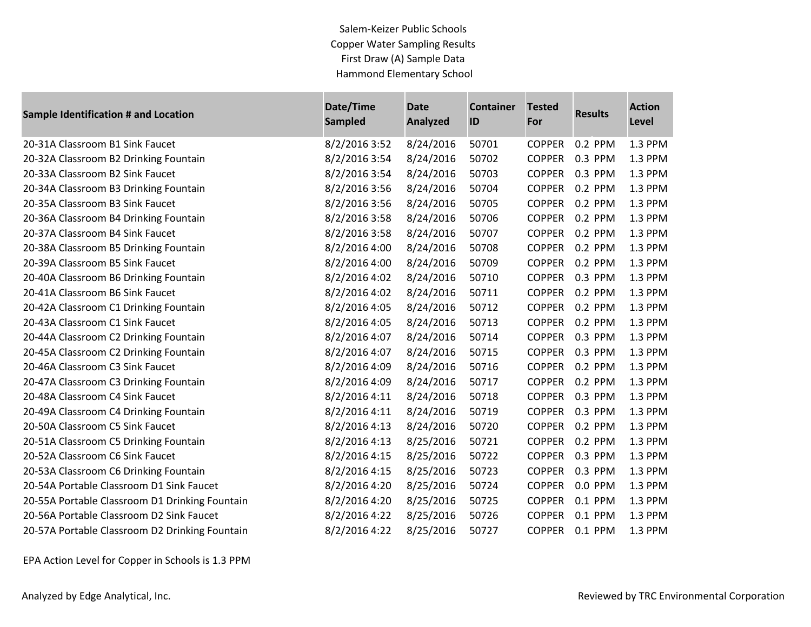Salem-Keizer Public Schools Copper Water Sampling Results First Draw (A) Sample Data Hammond Elementary School

| <b>Sample Identification # and Location</b>    | Date/Time<br><b>Sampled</b> | <b>Date</b><br><b>Analyzed</b> | <b>Container</b><br>ID | <b>Tested</b><br>For | <b>Results</b> | <b>Action</b><br>Level |
|------------------------------------------------|-----------------------------|--------------------------------|------------------------|----------------------|----------------|------------------------|
| 20-31A Classroom B1 Sink Faucet                | 8/2/2016 3:52               | 8/24/2016                      | 50701                  | <b>COPPER</b>        | 0.2 PPM        | 1.3 PPM                |
| 20-32A Classroom B2 Drinking Fountain          | 8/2/2016 3:54               | 8/24/2016                      | 50702                  | <b>COPPER</b>        | 0.3 PPM        | 1.3 PPM                |
| 20-33A Classroom B2 Sink Faucet                | 8/2/2016 3:54               | 8/24/2016                      | 50703                  | <b>COPPER</b>        | 0.3 PPM        | 1.3 PPM                |
| 20-34A Classroom B3 Drinking Fountain          | 8/2/2016 3:56               | 8/24/2016                      | 50704                  | <b>COPPER</b>        | 0.2 PPM        | 1.3 PPM                |
| 20-35A Classroom B3 Sink Faucet                | 8/2/2016 3:56               | 8/24/2016                      | 50705                  | <b>COPPER</b>        | 0.2 PPM        | 1.3 PPM                |
| 20-36A Classroom B4 Drinking Fountain          | 8/2/2016 3:58               | 8/24/2016                      | 50706                  | <b>COPPER</b>        | 0.2 PPM        | 1.3 PPM                |
| 20-37A Classroom B4 Sink Faucet                | 8/2/2016 3:58               | 8/24/2016                      | 50707                  | <b>COPPER</b>        | 0.2 PPM        | 1.3 PPM                |
| 20-38A Classroom B5 Drinking Fountain          | 8/2/2016 4:00               | 8/24/2016                      | 50708                  | <b>COPPER</b>        | 0.2 PPM        | 1.3 PPM                |
| 20-39A Classroom B5 Sink Faucet                | 8/2/2016 4:00               | 8/24/2016                      | 50709                  | <b>COPPER</b>        | 0.2 PPM        | 1.3 PPM                |
| 20-40A Classroom B6 Drinking Fountain          | 8/2/2016 4:02               | 8/24/2016                      | 50710                  | <b>COPPER</b>        | 0.3 PPM        | 1.3 PPM                |
| 20-41A Classroom B6 Sink Faucet                | 8/2/2016 4:02               | 8/24/2016                      | 50711                  | <b>COPPER</b>        | 0.2 PPM        | 1.3 PPM                |
| 20-42A Classroom C1 Drinking Fountain          | 8/2/2016 4:05               | 8/24/2016                      | 50712                  | <b>COPPER</b>        | 0.2 PPM        | 1.3 PPM                |
| 20-43A Classroom C1 Sink Faucet                | 8/2/2016 4:05               | 8/24/2016                      | 50713                  | <b>COPPER</b>        | 0.2 PPM        | 1.3 PPM                |
| 20-44A Classroom C2 Drinking Fountain          | 8/2/2016 4:07               | 8/24/2016                      | 50714                  | <b>COPPER</b>        | 0.3 PPM        | 1.3 PPM                |
| 20-45A Classroom C2 Drinking Fountain          | 8/2/2016 4:07               | 8/24/2016                      | 50715                  | <b>COPPER</b>        | 0.3 PPM        | 1.3 PPM                |
| 20-46A Classroom C3 Sink Faucet                | 8/2/2016 4:09               | 8/24/2016                      | 50716                  | <b>COPPER</b>        | 0.2 PPM        | 1.3 PPM                |
| 20-47A Classroom C3 Drinking Fountain          | 8/2/2016 4:09               | 8/24/2016                      | 50717                  | <b>COPPER</b>        | 0.2 PPM        | 1.3 PPM                |
| 20-48A Classroom C4 Sink Faucet                | 8/2/2016 4:11               | 8/24/2016                      | 50718                  | <b>COPPER</b>        | 0.3 PPM        | 1.3 PPM                |
| 20-49A Classroom C4 Drinking Fountain          | 8/2/2016 4:11               | 8/24/2016                      | 50719                  | <b>COPPER</b>        | 0.3 PPM        | 1.3 PPM                |
| 20-50A Classroom C5 Sink Faucet                | 8/2/2016 4:13               | 8/24/2016                      | 50720                  | <b>COPPER</b>        | 0.2 PPM        | 1.3 PPM                |
| 20-51A Classroom C5 Drinking Fountain          | 8/2/2016 4:13               | 8/25/2016                      | 50721                  | <b>COPPER</b>        | 0.2 PPM        | 1.3 PPM                |
| 20-52A Classroom C6 Sink Faucet                | 8/2/2016 4:15               | 8/25/2016                      | 50722                  | <b>COPPER</b>        | 0.3 PPM        | 1.3 PPM                |
| 20-53A Classroom C6 Drinking Fountain          | 8/2/2016 4:15               | 8/25/2016                      | 50723                  | <b>COPPER</b>        | 0.3 PPM        | 1.3 PPM                |
| 20-54A Portable Classroom D1 Sink Faucet       | 8/2/2016 4:20               | 8/25/2016                      | 50724                  | <b>COPPER</b>        | 0.0 PPM        | 1.3 PPM                |
| 20-55A Portable Classroom D1 Drinking Fountain | 8/2/2016 4:20               | 8/25/2016                      | 50725                  | <b>COPPER</b>        | 0.1 PPM        | 1.3 PPM                |
| 20-56A Portable Classroom D2 Sink Faucet       | 8/2/2016 4:22               | 8/25/2016                      | 50726                  | <b>COPPER</b>        | 0.1 PPM        | 1.3 PPM                |
| 20-57A Portable Classroom D2 Drinking Fountain | 8/2/2016 4:22               | 8/25/2016                      | 50727                  | <b>COPPER</b>        | 0.1 PPM        | 1.3 PPM                |

EPA Action Level for Copper in Schools is 1.3 PPM